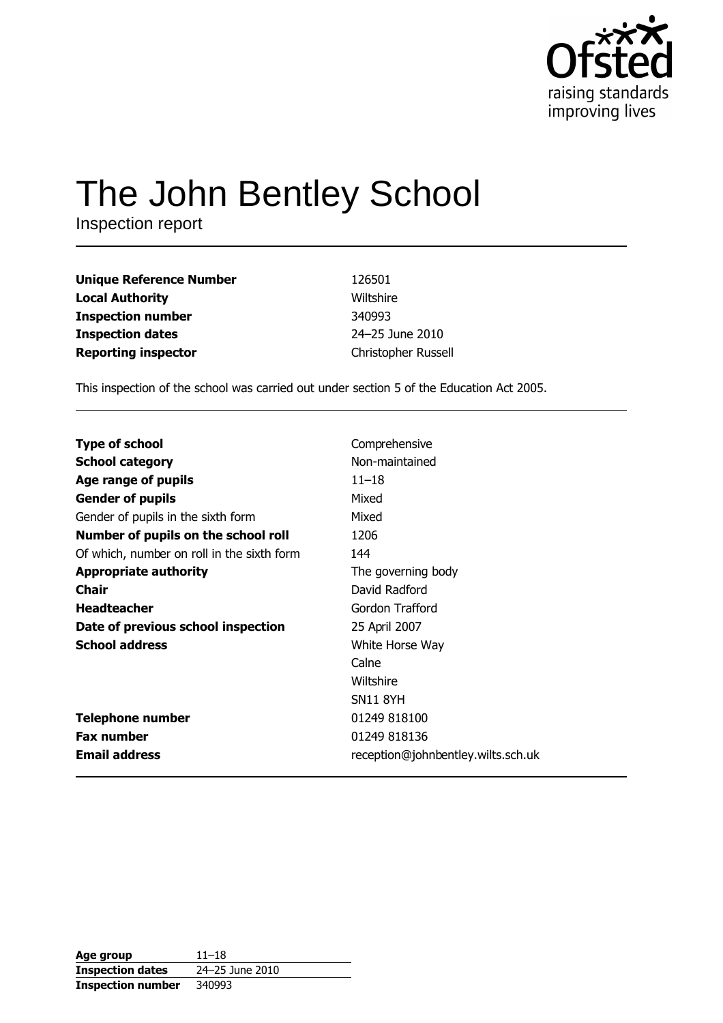

# The John Bentley School

Inspection report

| <b>Unique Reference Number</b> | 126501              |
|--------------------------------|---------------------|
| <b>Local Authority</b>         | Wiltshire           |
| <b>Inspection number</b>       | 340993              |
| <b>Inspection dates</b>        | 24-25 June 2010     |
| <b>Reporting inspector</b>     | Christopher Russell |

This inspection of the school was carried out under section 5 of the Education Act 2005.

| <b>Type of school</b>                      | Comprehensive                      |
|--------------------------------------------|------------------------------------|
|                                            |                                    |
| <b>School category</b>                     | Non-maintained                     |
| Age range of pupils                        | $11 - 18$                          |
| <b>Gender of pupils</b>                    | Mixed                              |
| Gender of pupils in the sixth form         | Mixed                              |
| Number of pupils on the school roll        | 1206                               |
| Of which, number on roll in the sixth form | 144                                |
| <b>Appropriate authority</b>               | The governing body                 |
| Chair                                      | David Radford                      |
| <b>Headteacher</b>                         | Gordon Trafford                    |
| Date of previous school inspection         | 25 April 2007                      |
| <b>School address</b>                      | White Horse Way                    |
|                                            | Calne                              |
|                                            | Wiltshire                          |
|                                            | <b>SN11 8YH</b>                    |
| <b>Telephone number</b>                    | 01249 818100                       |
| <b>Fax number</b>                          | 01249 818136                       |
| <b>Email address</b>                       | reception@johnbentley.wilts.sch.uk |

| Age group                | $11 - 18$       |
|--------------------------|-----------------|
| <b>Inspection dates</b>  | 24–25 June 2010 |
| <b>Inspection number</b> | 340993          |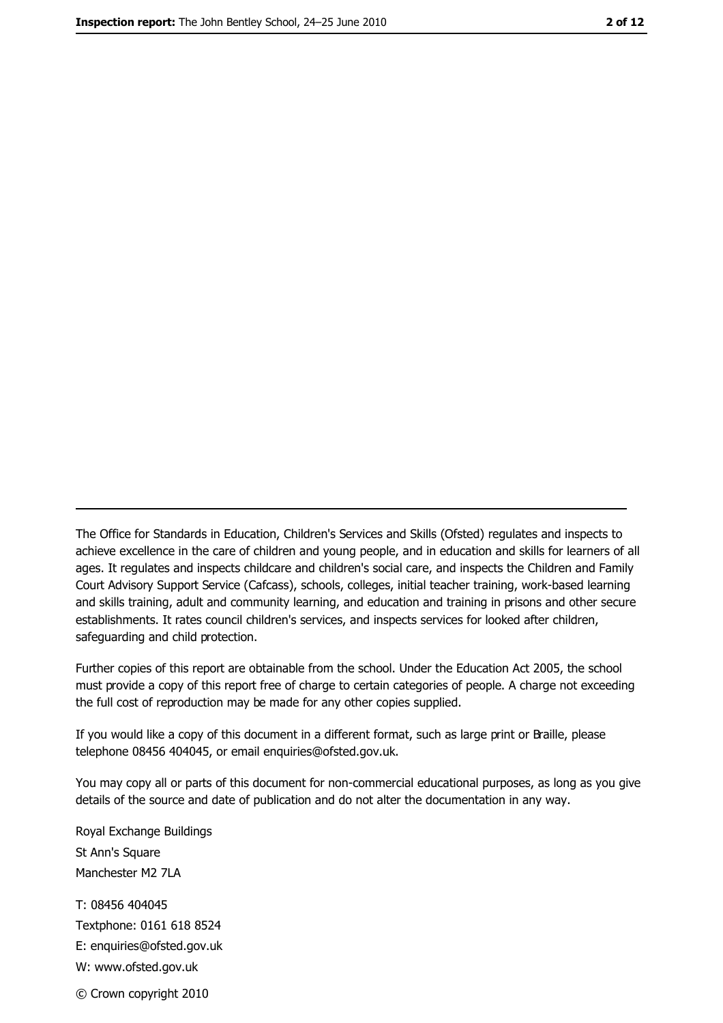The Office for Standards in Education, Children's Services and Skills (Ofsted) regulates and inspects to achieve excellence in the care of children and young people, and in education and skills for learners of all ages. It regulates and inspects childcare and children's social care, and inspects the Children and Family Court Advisory Support Service (Cafcass), schools, colleges, initial teacher training, work-based learning and skills training, adult and community learning, and education and training in prisons and other secure establishments. It rates council children's services, and inspects services for looked after children, safequarding and child protection.

Further copies of this report are obtainable from the school. Under the Education Act 2005, the school must provide a copy of this report free of charge to certain categories of people. A charge not exceeding the full cost of reproduction may be made for any other copies supplied.

If you would like a copy of this document in a different format, such as large print or Braille, please telephone 08456 404045, or email enquiries@ofsted.gov.uk.

You may copy all or parts of this document for non-commercial educational purposes, as long as you give details of the source and date of publication and do not alter the documentation in any way.

Royal Exchange Buildings St Ann's Square Manchester M2 7LA T: 08456 404045 Textphone: 0161 618 8524 E: enquiries@ofsted.gov.uk W: www.ofsted.gov.uk © Crown copyright 2010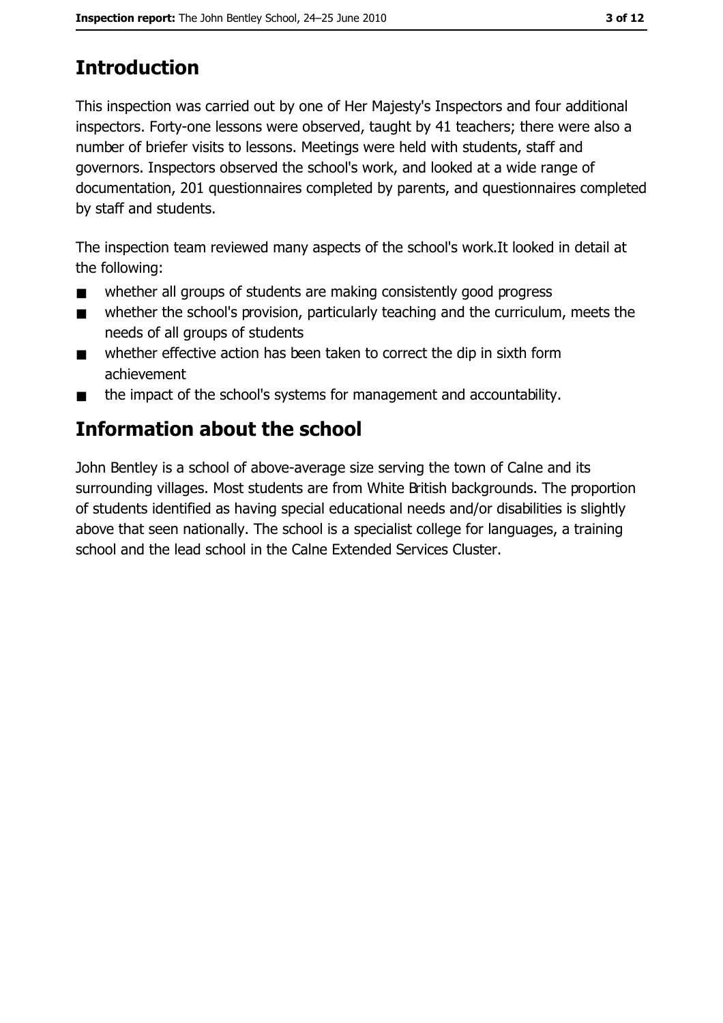# **Introduction**

This inspection was carried out by one of Her Majesty's Inspectors and four additional inspectors. Forty-one lessons were observed, taught by 41 teachers; there were also a number of briefer visits to lessons. Meetings were held with students, staff and governors. Inspectors observed the school's work, and looked at a wide range of documentation, 201 questionnaires completed by parents, and questionnaires completed by staff and students.

The inspection team reviewed many aspects of the school's work. It looked in detail at the following:

- whether all groups of students are making consistently good progress  $\blacksquare$
- whether the school's provision, particularly teaching and the curriculum, meets the  $\blacksquare$ needs of all groups of students
- whether effective action has been taken to correct the dip in sixth form  $\blacksquare$ achievement
- the impact of the school's systems for management and accountability.  $\blacksquare$

## **Information about the school**

John Bentley is a school of above-average size serving the town of Calne and its surrounding villages. Most students are from White British backgrounds. The proportion of students identified as having special educational needs and/or disabilities is slightly above that seen nationally. The school is a specialist college for languages, a training school and the lead school in the Calne Extended Services Cluster.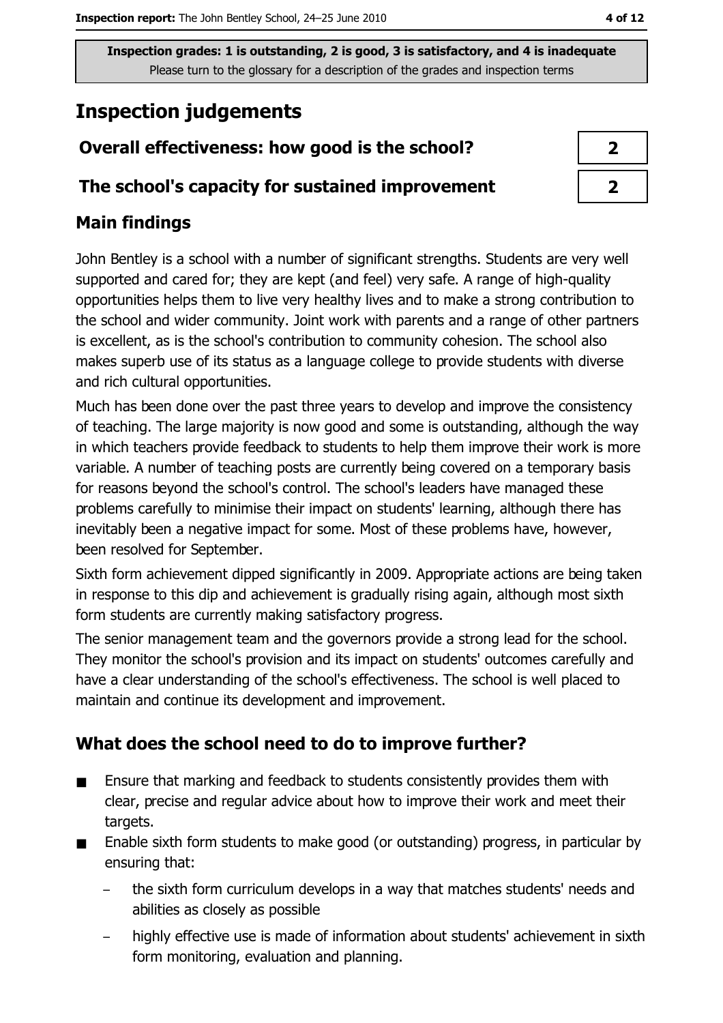# **Inspection judgements**

## Overall effectiveness: how good is the school?

#### The school's capacity for sustained improvement

## **Main findings**

John Bentley is a school with a number of significant strengths. Students are very well supported and cared for; they are kept (and feel) very safe. A range of high-quality opportunities helps them to live very healthy lives and to make a strong contribution to the school and wider community. Joint work with parents and a range of other partners is excellent, as is the school's contribution to community cohesion. The school also makes superb use of its status as a language college to provide students with diverse and rich cultural opportunities.

Much has been done over the past three years to develop and improve the consistency of teaching. The large majority is now good and some is outstanding, although the way in which teachers provide feedback to students to help them improve their work is more variable. A number of teaching posts are currently being covered on a temporary basis for reasons beyond the school's control. The school's leaders have managed these problems carefully to minimise their impact on students' learning, although there has inevitably been a negative impact for some. Most of these problems have, however, been resolved for September.

Sixth form achievement dipped significantly in 2009. Appropriate actions are being taken in response to this dip and achievement is gradually rising again, although most sixth form students are currently making satisfactory progress.

The senior management team and the governors provide a strong lead for the school. They monitor the school's provision and its impact on students' outcomes carefully and have a clear understanding of the school's effectiveness. The school is well placed to maintain and continue its development and improvement.

## What does the school need to do to improve further?

- Ensure that marking and feedback to students consistently provides them with  $\blacksquare$ clear, precise and regular advice about how to improve their work and meet their targets.
- $\blacksquare$ Enable sixth form students to make good (or outstanding) progress, in particular by ensuring that:
	- the sixth form curriculum develops in a way that matches students' needs and abilities as closely as possible
	- highly effective use is made of information about students' achievement in sixth form monitoring, evaluation and planning.

| ∕ |  |
|---|--|
|   |  |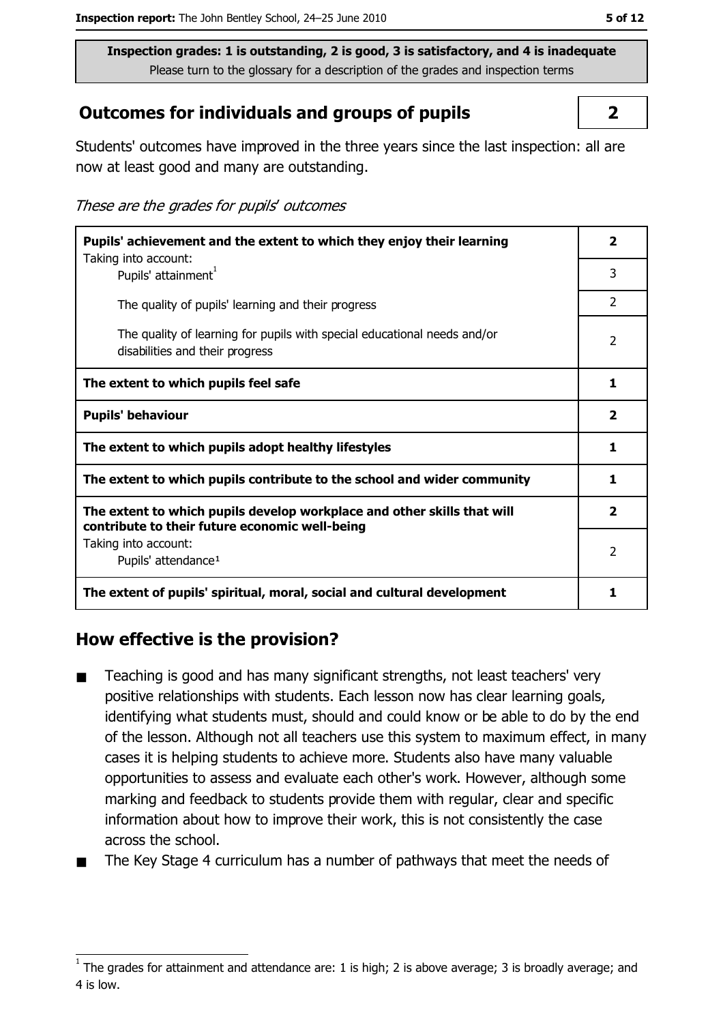#### **Outcomes for individuals and groups of pupils**

Students' outcomes have improved in the three years since the last inspection: all are now at least good and many are outstanding.

These are the grades for pupils' outcomes

| Pupils' achievement and the extent to which they enjoy their learning                                                     |                         |  |
|---------------------------------------------------------------------------------------------------------------------------|-------------------------|--|
| Taking into account:<br>Pupils' attainment <sup>1</sup>                                                                   | 3                       |  |
| The quality of pupils' learning and their progress                                                                        | $\overline{2}$          |  |
| The quality of learning for pupils with special educational needs and/or<br>disabilities and their progress               | $\overline{2}$          |  |
| The extent to which pupils feel safe                                                                                      | 1                       |  |
| <b>Pupils' behaviour</b>                                                                                                  | $\overline{\mathbf{2}}$ |  |
| The extent to which pupils adopt healthy lifestyles                                                                       | 1                       |  |
| The extent to which pupils contribute to the school and wider community                                                   | 1                       |  |
| The extent to which pupils develop workplace and other skills that will<br>contribute to their future economic well-being | $\mathbf{2}$            |  |
| Taking into account:<br>Pupils' attendance <sup>1</sup>                                                                   | 2                       |  |
| The extent of pupils' spiritual, moral, social and cultural development                                                   | 1                       |  |

#### How effective is the provision?

- Teaching is good and has many significant strengths, not least teachers' very  $\blacksquare$ positive relationships with students. Each lesson now has clear learning goals, identifying what students must, should and could know or be able to do by the end of the lesson. Although not all teachers use this system to maximum effect, in many cases it is helping students to achieve more. Students also have many valuable opportunities to assess and evaluate each other's work. However, although some marking and feedback to students provide them with regular, clear and specific information about how to improve their work, this is not consistently the case across the school.
- The Key Stage 4 curriculum has a number of pathways that meet the needs of

 $\overline{2}$ 

The grades for attainment and attendance are: 1 is high; 2 is above average; 3 is broadly average; and 4 is low.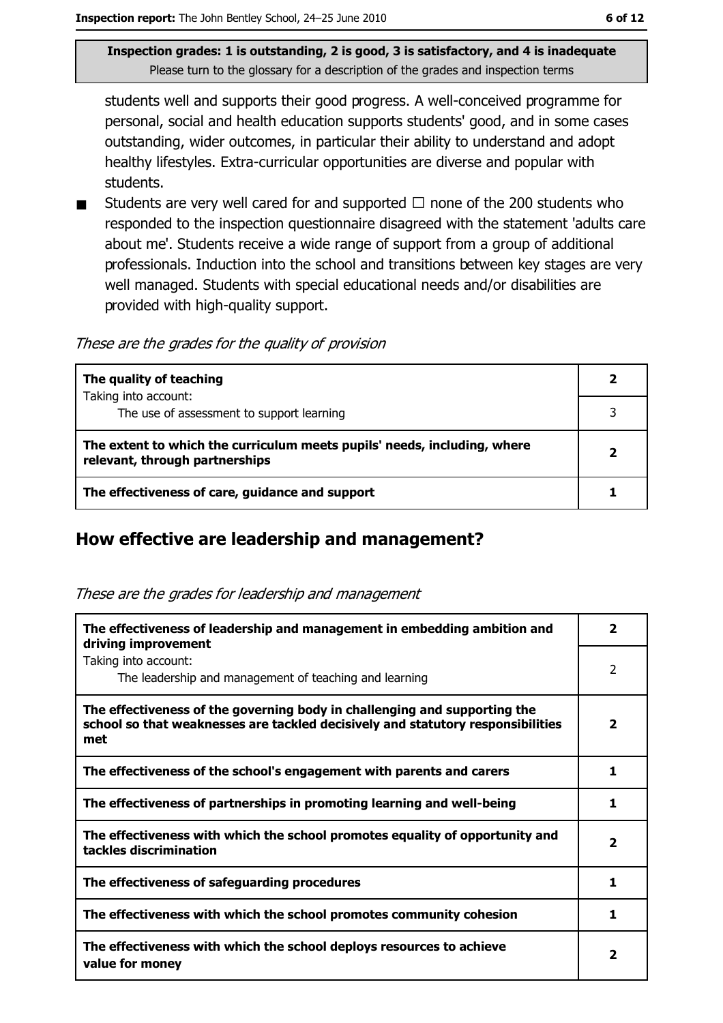students well and supports their good progress. A well-conceived programme for personal, social and health education supports students' good, and in some cases outstanding, wider outcomes, in particular their ability to understand and adopt healthy lifestyles. Extra-curricular opportunities are diverse and popular with students.

Students are very well cared for and supported  $\Box$  none of the 200 students who  $\blacksquare$ responded to the inspection questionnaire disagreed with the statement 'adults care about me'. Students receive a wide range of support from a group of additional professionals. Induction into the school and transitions between key stages are very well managed. Students with special educational needs and/or disabilities are provided with high-quality support.

These are the grades for the quality of provision

| The quality of teaching                                                                                    | 2            |
|------------------------------------------------------------------------------------------------------------|--------------|
| Taking into account:                                                                                       |              |
| The use of assessment to support learning                                                                  |              |
| The extent to which the curriculum meets pupils' needs, including, where<br>relevant, through partnerships | $\mathbf{2}$ |
| The effectiveness of care, guidance and support                                                            |              |

## How effective are leadership and management?

|  |  | These are the grades for leadership and management |
|--|--|----------------------------------------------------|

| The effectiveness of leadership and management in embedding ambition and<br>driving improvement                                                                     | 2                       |
|---------------------------------------------------------------------------------------------------------------------------------------------------------------------|-------------------------|
| Taking into account:<br>The leadership and management of teaching and learning                                                                                      | 2                       |
| The effectiveness of the governing body in challenging and supporting the<br>school so that weaknesses are tackled decisively and statutory responsibilities<br>met | 2                       |
| The effectiveness of the school's engagement with parents and carers                                                                                                | 1                       |
| The effectiveness of partnerships in promoting learning and well-being                                                                                              | 1                       |
| The effectiveness with which the school promotes equality of opportunity and<br>tackles discrimination                                                              | $\overline{\mathbf{2}}$ |
| The effectiveness of safeguarding procedures                                                                                                                        | 1                       |
| The effectiveness with which the school promotes community cohesion                                                                                                 | 1                       |
| The effectiveness with which the school deploys resources to achieve<br>value for money                                                                             | 2                       |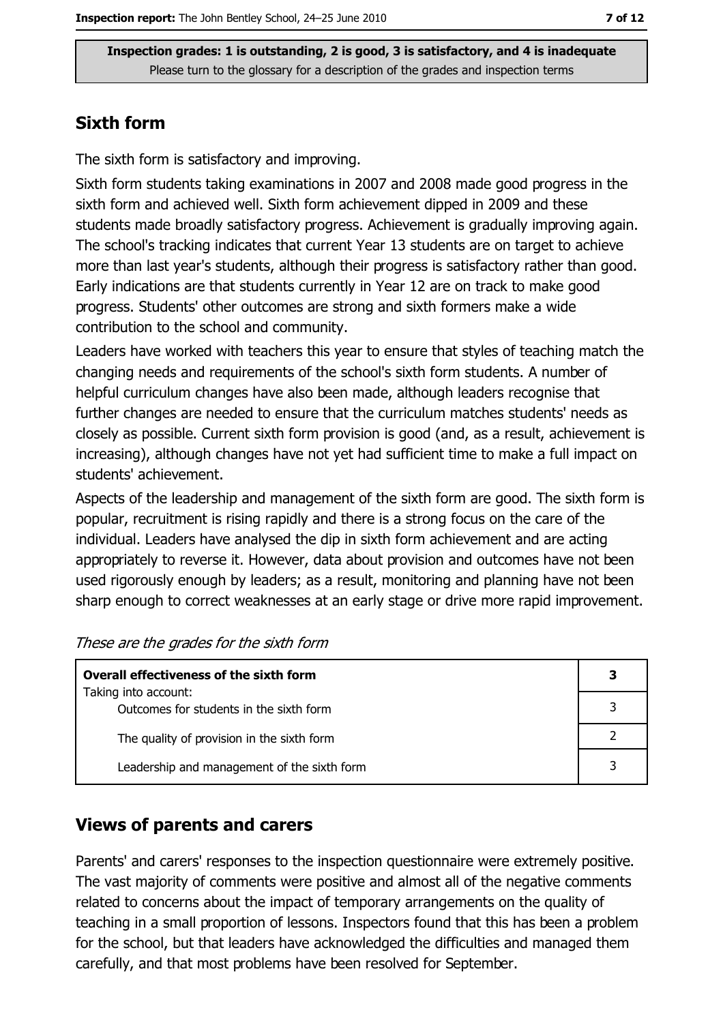#### **Sixth form**

The sixth form is satisfactory and improving.

Sixth form students taking examinations in 2007 and 2008 made good progress in the sixth form and achieved well. Sixth form achievement dipped in 2009 and these students made broadly satisfactory progress. Achievement is gradually improving again. The school's tracking indicates that current Year 13 students are on target to achieve more than last year's students, although their progress is satisfactory rather than good. Early indications are that students currently in Year 12 are on track to make good progress. Students' other outcomes are strong and sixth formers make a wide contribution to the school and community.

Leaders have worked with teachers this year to ensure that styles of teaching match the changing needs and requirements of the school's sixth form students. A number of helpful curriculum changes have also been made, although leaders recognise that further changes are needed to ensure that the curriculum matches students' needs as closely as possible. Current sixth form provision is good (and, as a result, achievement is increasing), although changes have not yet had sufficient time to make a full impact on students' achievement.

Aspects of the leadership and management of the sixth form are good. The sixth form is popular, recruitment is rising rapidly and there is a strong focus on the care of the individual. Leaders have analysed the dip in sixth form achievement and are acting appropriately to reverse it. However, data about provision and outcomes have not been used rigorously enough by leaders; as a result, monitoring and planning have not been sharp enough to correct weaknesses at an early stage or drive more rapid improvement.

|  |  | These are the grades for the sixth form |
|--|--|-----------------------------------------|
|--|--|-----------------------------------------|

| Overall effectiveness of the sixth form                         |  |  |
|-----------------------------------------------------------------|--|--|
| Taking into account:<br>Outcomes for students in the sixth form |  |  |
| The quality of provision in the sixth form                      |  |  |
| Leadership and management of the sixth form                     |  |  |

#### **Views of parents and carers**

Parents' and carers' responses to the inspection questionnaire were extremely positive. The vast majority of comments were positive and almost all of the negative comments related to concerns about the impact of temporary arrangements on the quality of teaching in a small proportion of lessons. Inspectors found that this has been a problem for the school, but that leaders have acknowledged the difficulties and managed them carefully, and that most problems have been resolved for September.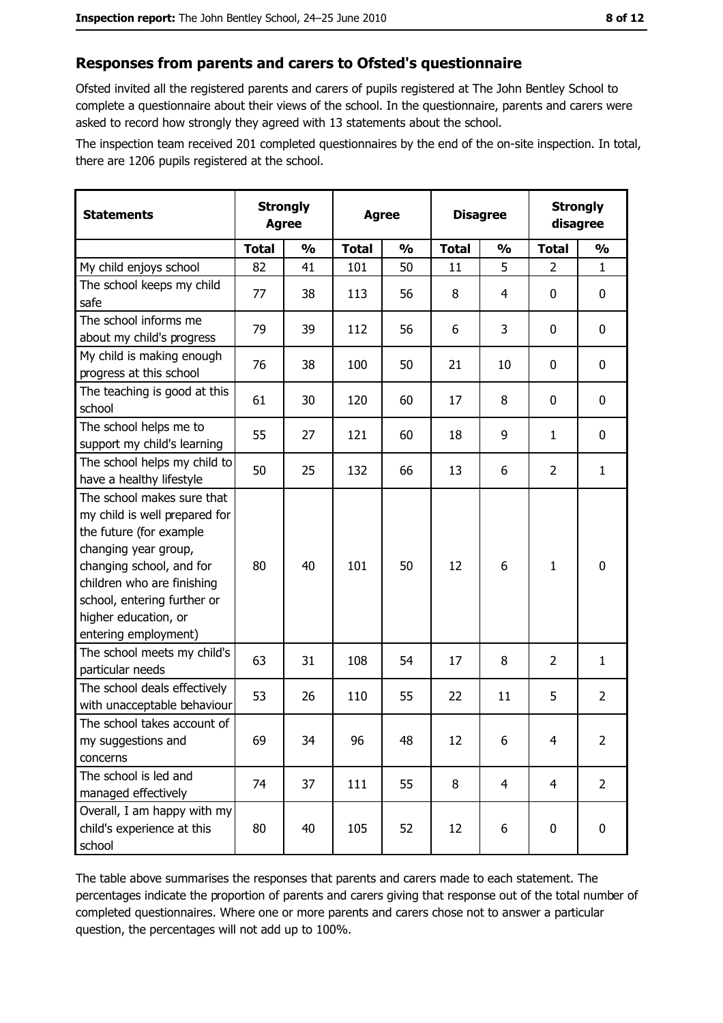#### Responses from parents and carers to Ofsted's questionnaire

Ofsted invited all the registered parents and carers of pupils registered at The John Bentley School to complete a questionnaire about their views of the school. In the questionnaire, parents and carers were asked to record how strongly they agreed with 13 statements about the school.

The inspection team received 201 completed questionnaires by the end of the on-site inspection. In total, there are 1206 pupils registered at the school.

| <b>Strongly</b><br><b>Statements</b><br><b>Agree</b>                                                                                                                                                                                                    |              |               | <b>Agree</b> |               | <b>Disagree</b> |               | <b>Strongly</b><br>disagree |                |
|---------------------------------------------------------------------------------------------------------------------------------------------------------------------------------------------------------------------------------------------------------|--------------|---------------|--------------|---------------|-----------------|---------------|-----------------------------|----------------|
|                                                                                                                                                                                                                                                         | <b>Total</b> | $\frac{0}{0}$ | <b>Total</b> | $\frac{0}{0}$ | <b>Total</b>    | $\frac{0}{0}$ | <b>Total</b>                | $\frac{1}{2}$  |
| My child enjoys school                                                                                                                                                                                                                                  | 82           | 41            | 101          | 50            | 11              | 5             | $\overline{2}$              | $\mathbf{1}$   |
| The school keeps my child<br>safe                                                                                                                                                                                                                       | 77           | 38            | 113          | 56            | 8               | 4             | 0                           | $\mathbf 0$    |
| The school informs me<br>about my child's progress                                                                                                                                                                                                      | 79           | 39            | 112          | 56            | 6               | 3             | $\mathbf{0}$                | 0              |
| My child is making enough<br>progress at this school                                                                                                                                                                                                    | 76           | 38            | 100          | 50            | 21              | 10            | 0                           | 0              |
| The teaching is good at this<br>school                                                                                                                                                                                                                  | 61           | 30            | 120          | 60            | 17              | 8             | 0                           | 0              |
| The school helps me to<br>support my child's learning                                                                                                                                                                                                   | 55           | 27            | 121          | 60            | 18              | 9             | $\mathbf{1}$                | $\mathbf 0$    |
| The school helps my child to<br>have a healthy lifestyle                                                                                                                                                                                                | 50           | 25            | 132          | 66            | 13              | 6             | $\overline{2}$              | $\mathbf{1}$   |
| The school makes sure that<br>my child is well prepared for<br>the future (for example<br>changing year group,<br>changing school, and for<br>children who are finishing<br>school, entering further or<br>higher education, or<br>entering employment) | 80           | 40            | 101          | 50            | 12              | 6             | 1                           | $\mathbf 0$    |
| The school meets my child's<br>particular needs                                                                                                                                                                                                         | 63           | 31            | 108          | 54            | 17              | 8             | $\overline{2}$              | $\mathbf{1}$   |
| The school deals effectively<br>with unacceptable behaviour                                                                                                                                                                                             | 53           | 26            | 110          | 55            | 22              | 11            | 5                           | $\overline{2}$ |
| The school takes account of<br>my suggestions and<br>concerns                                                                                                                                                                                           | 69           | 34            | 96           | 48            | 12              | 6             | 4                           | $\overline{2}$ |
| The school is led and<br>managed effectively                                                                                                                                                                                                            | 74           | 37            | 111          | 55            | 8               | 4             | $\overline{4}$              | $\overline{2}$ |
| Overall, I am happy with my<br>child's experience at this<br>school                                                                                                                                                                                     | 80           | 40            | 105          | 52            | 12              | 6             | 0                           | 0              |

The table above summarises the responses that parents and carers made to each statement. The percentages indicate the proportion of parents and carers giving that response out of the total number of completed questionnaires. Where one or more parents and carers chose not to answer a particular question, the percentages will not add up to 100%.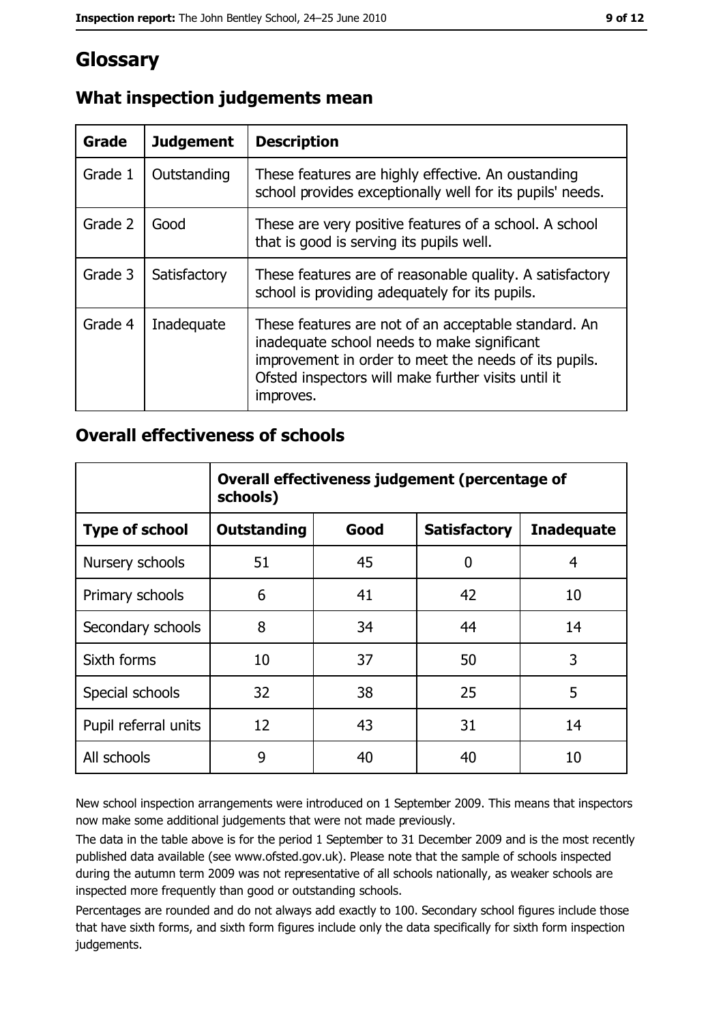# Glossary

| Grade   | <b>Judgement</b> | <b>Description</b>                                                                                                                                                                                                               |
|---------|------------------|----------------------------------------------------------------------------------------------------------------------------------------------------------------------------------------------------------------------------------|
| Grade 1 | Outstanding      | These features are highly effective. An oustanding<br>school provides exceptionally well for its pupils' needs.                                                                                                                  |
| Grade 2 | Good             | These are very positive features of a school. A school<br>that is good is serving its pupils well.                                                                                                                               |
| Grade 3 | Satisfactory     | These features are of reasonable quality. A satisfactory<br>school is providing adequately for its pupils.                                                                                                                       |
| Grade 4 | Inadequate       | These features are not of an acceptable standard. An<br>inadequate school needs to make significant<br>improvement in order to meet the needs of its pupils.<br>Ofsted inspectors will make further visits until it<br>improves. |

## What inspection judgements mean

## **Overall effectiveness of schools**

|                       | Overall effectiveness judgement (percentage of<br>schools) |      |                     |                   |
|-----------------------|------------------------------------------------------------|------|---------------------|-------------------|
| <b>Type of school</b> | <b>Outstanding</b>                                         | Good | <b>Satisfactory</b> | <b>Inadequate</b> |
| Nursery schools       | 51                                                         | 45   | 0                   | 4                 |
| Primary schools       | 6                                                          | 41   | 42                  | 10                |
| Secondary schools     | 8                                                          | 34   | 44                  | 14                |
| Sixth forms           | 10                                                         | 37   | 50                  | 3                 |
| Special schools       | 32                                                         | 38   | 25                  | 5                 |
| Pupil referral units  | 12                                                         | 43   | 31                  | 14                |
| All schools           | 9                                                          | 40   | 40                  | 10                |

New school inspection arrangements were introduced on 1 September 2009. This means that inspectors now make some additional judgements that were not made previously.

The data in the table above is for the period 1 September to 31 December 2009 and is the most recently published data available (see www.ofsted.gov.uk). Please note that the sample of schools inspected during the autumn term 2009 was not representative of all schools nationally, as weaker schools are inspected more frequently than good or outstanding schools.

Percentages are rounded and do not always add exactly to 100. Secondary school figures include those that have sixth forms, and sixth form figures include only the data specifically for sixth form inspection judgements.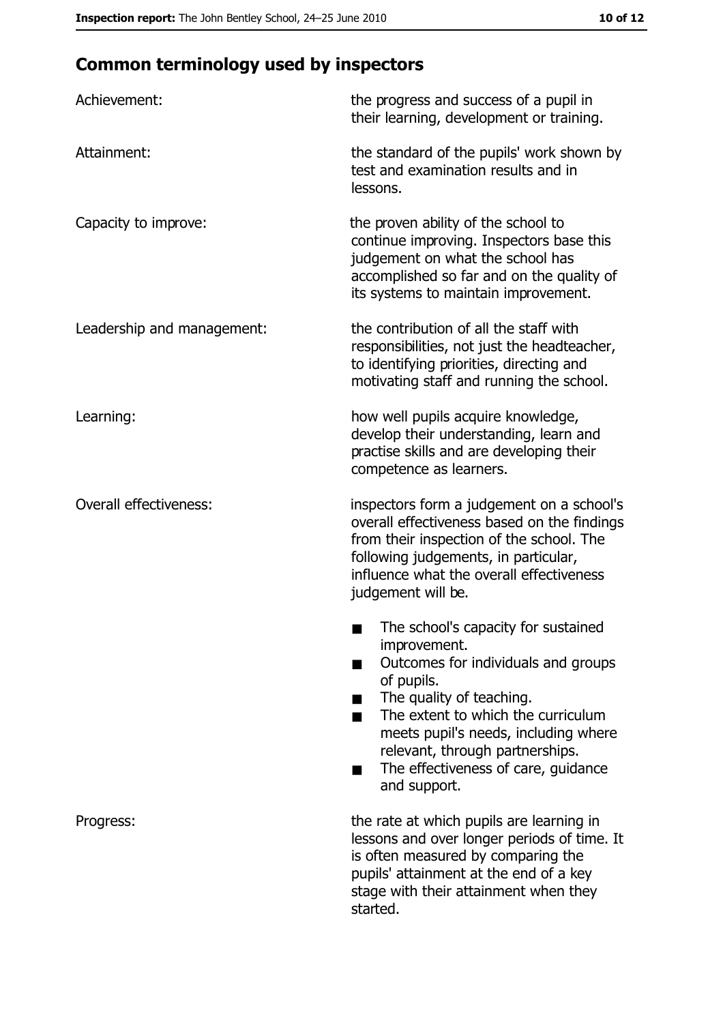# **Common terminology used by inspectors**

| Achievement:                  | the progress and success of a pupil in<br>their learning, development or training.                                                                                                                                                                                                                           |  |  |
|-------------------------------|--------------------------------------------------------------------------------------------------------------------------------------------------------------------------------------------------------------------------------------------------------------------------------------------------------------|--|--|
| Attainment:                   | the standard of the pupils' work shown by<br>test and examination results and in<br>lessons.                                                                                                                                                                                                                 |  |  |
| Capacity to improve:          | the proven ability of the school to<br>continue improving. Inspectors base this<br>judgement on what the school has<br>accomplished so far and on the quality of<br>its systems to maintain improvement.                                                                                                     |  |  |
| Leadership and management:    | the contribution of all the staff with<br>responsibilities, not just the headteacher,<br>to identifying priorities, directing and<br>motivating staff and running the school.                                                                                                                                |  |  |
| Learning:                     | how well pupils acquire knowledge,<br>develop their understanding, learn and<br>practise skills and are developing their<br>competence as learners.                                                                                                                                                          |  |  |
| <b>Overall effectiveness:</b> | inspectors form a judgement on a school's<br>overall effectiveness based on the findings<br>from their inspection of the school. The<br>following judgements, in particular,<br>influence what the overall effectiveness<br>judgement will be.                                                               |  |  |
|                               | The school's capacity for sustained<br>improvement.<br>Outcomes for individuals and groups<br>of pupils.<br>The quality of teaching.<br>The extent to which the curriculum<br>meets pupil's needs, including where<br>relevant, through partnerships.<br>The effectiveness of care, guidance<br>and support. |  |  |
| Progress:                     | the rate at which pupils are learning in<br>lessons and over longer periods of time. It<br>is often measured by comparing the<br>pupils' attainment at the end of a key<br>stage with their attainment when they<br>started.                                                                                 |  |  |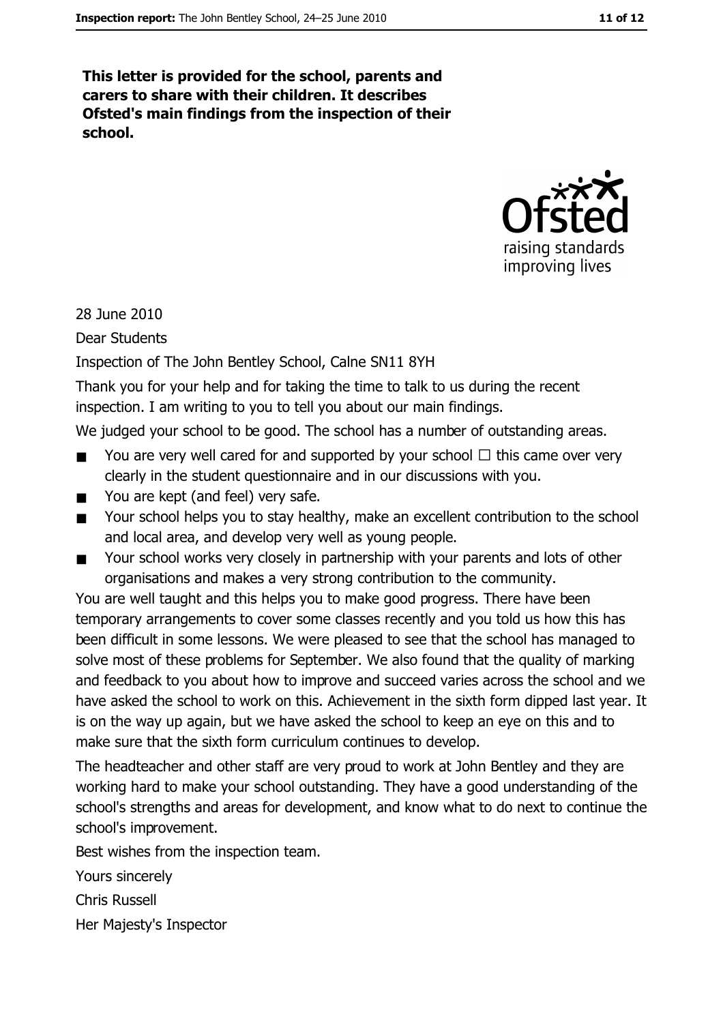This letter is provided for the school, parents and carers to share with their children. It describes Ofsted's main findings from the inspection of their school.



28 June 2010

**Dear Students** 

Inspection of The John Bentley School, Calne SN11 8YH

Thank you for your help and for taking the time to talk to us during the recent inspection. I am writing to you to tell you about our main findings.

We judged your school to be good. The school has a number of outstanding areas.

- You are very well cared for and supported by your school  $\Box$  this came over very  $\blacksquare$ clearly in the student questionnaire and in our discussions with you.
- $\blacksquare$ You are kept (and feel) very safe.
- Your school helps you to stay healthy, make an excellent contribution to the school  $\blacksquare$ and local area, and develop very well as young people.
- Your school works very closely in partnership with your parents and lots of other  $\blacksquare$ organisations and makes a very strong contribution to the community.

You are well taught and this helps you to make good progress. There have been temporary arrangements to cover some classes recently and you told us how this has been difficult in some lessons. We were pleased to see that the school has managed to solve most of these problems for September. We also found that the quality of marking and feedback to you about how to improve and succeed varies across the school and we have asked the school to work on this. Achievement in the sixth form dipped last year. It is on the way up again, but we have asked the school to keep an eye on this and to make sure that the sixth form curriculum continues to develop.

The headteacher and other staff are very proud to work at John Bentley and they are working hard to make your school outstanding. They have a good understanding of the school's strengths and areas for development, and know what to do next to continue the school's improvement.

Best wishes from the inspection team.

Yours sincerely

**Chris Russell** 

Her Majesty's Inspector